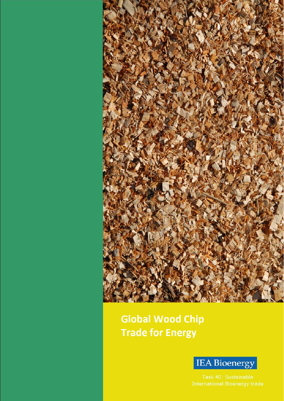

**Global Wood Chip Trade for Energy** 

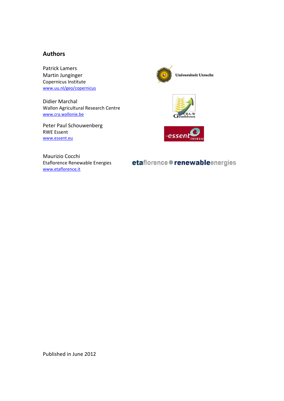#### Authors

Patrick Lamers Martin Junginger Copernicus Institute www.uu.nl/geo/copernicus

Didier Marchal Wallon Agricultural Research Centre www.cra.wallonie.be

Peter Paul Schouwenberg RWE Essent www.essent.eu







Maurizio Cocchi Etaflorence Renewable Energies www.etaflorence.it

etaflorence # renewableenergies

Published in June 2012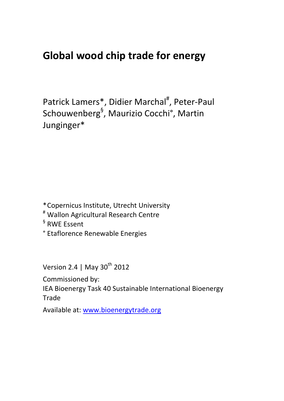# Global wood chip trade for energy

Patrick Lamers\*, Didier Marchal<sup>#</sup>, Peter-Paul Schouwenberg<sup>§</sup>, Maurizio Cocchi°, Martin Junginger\*

\* Copernicus Institute, Utrecht University

- # Wallon Agricultural Research Centre
- § RWE Essent
- ° Etaflorence Renewable Energies

Version 2.4 | May 30<sup>th</sup> 2012

Commissioned by:

IEA Bioenergy Task 40 Sustainable International Bioenergy **Trade** 

Available at: www.bioenergytrade.org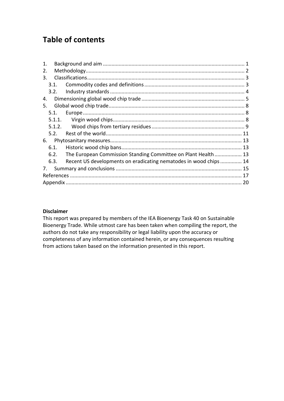## Table of contents

| $\mathbf{1}$ . |        |                                                                  |  |
|----------------|--------|------------------------------------------------------------------|--|
| 2.             |        |                                                                  |  |
| 3.             |        |                                                                  |  |
|                | 3.1.   |                                                                  |  |
|                | 3.2.   |                                                                  |  |
| 4.             |        |                                                                  |  |
| 5.             |        |                                                                  |  |
|                | 5.1.   |                                                                  |  |
|                |        |                                                                  |  |
|                | 5.1.2. |                                                                  |  |
|                | 5.2.   |                                                                  |  |
| 6.             |        |                                                                  |  |
|                | 6.1.   |                                                                  |  |
|                | 6.2.   | The European Commission Standing Committee on Plant Health 13    |  |
|                | 6.3.   | Recent US developments on eradicating nematodes in wood chips 14 |  |
| 7.             |        |                                                                  |  |
|                |        |                                                                  |  |
|                |        |                                                                  |  |
|                |        |                                                                  |  |

#### Disclaimer

This report was prepared by members of the IEA Bioenergy Task 40 on Sustainable Bioenergy Trade. While utmost care has been taken when compiling the report, the authors do not take any responsibility or legal liability upon the accuracy or completeness of any information contained herein, or any consequences resulting from actions taken based on the information presented in this report.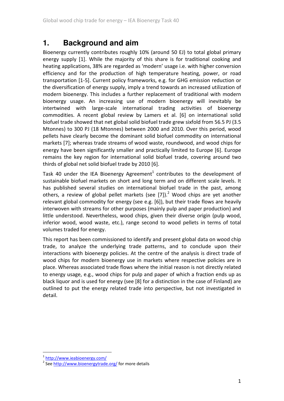### **1. Background and aim**

Bioenergy currently contributes roughly 10% (around 50 EJ) to total global primary energy supply [1]. While the majority of this share is for traditional cooking and heating applications, 38% are regarded as 'modern' usage i.e. with higher conversion efficiency and for the production of high temperature heating, power, or road transportation [1-5]. Current policy frameworks, e.g. for GHG emission reduction or the diversification of energy supply, imply a trend towards an increased utilization of modern bioenergy. This includes a further replacement of traditional with modern bioenergy usage. An increasing use of modern bioenergy will inevitably be intertwined with large-scale international trading activities of bioenergy commodities. A recent global review by Lamers et al. [6] on international solid biofuel trade showed that net global solid biofuel trade grew sixfold from 56.5 PJ (3.5 Mtonnes) to 300 PJ (18 Mtonnes) between 2000 and 2010. Over this period, wood pellets have clearly become the dominant solid biofuel commodity on international markets [7]; whereas trade streams of wood waste, roundwood, and wood chips for energy have been significantly smaller and practically limited to Europe [6]. Europe remains the key region for international solid biofuel trade, covering around two thirds of global net solid biofuel trade by 2010 [6].

Task 40 under the IEA Bioenergy Agreement<sup>1</sup> contributes to the development of sustainable biofuel markets on short and long term and on different scale levels. It has published several studies on international biofuel trade in the past, among others, a review of global pellet markets (see  $[7]$ ).<sup>2</sup> Wood chips are yet another relevant global commodity for energy (see e.g. [6]), but their trade flows are heavily interwoven with streams for other purposes (mainly pulp and paper production) and little understood. Nevertheless, wood chips, given their diverse origin (pulp wood, inferior wood, wood waste, etc.), range second to wood pellets in terms of total volumes traded for energy.

This report has been commissioned to identify and present global data on wood chip trade, to analyze the underlying trade patterns, and to conclude upon their interactions with bioenergy policies. At the centre of the analysis is direct trade of wood chips for modern bioenergy use in markets where respective policies are in place. Whereas associated trade flows where the initial reason is not directly related to energy usage, e.g., wood chips for pulp and paper of which a fraction ends up as black liquor and is used for energy (see [8] for a distinction in the case of Finland) are outlined to put the energy related trade into perspective, but not investigated in detail.

l.

<sup>&</sup>lt;sup>1</sup> http://www.ieabioenergy.com/

<sup>&</sup>lt;sup>2</sup> See http://www.bioenergytrade.org/ for more details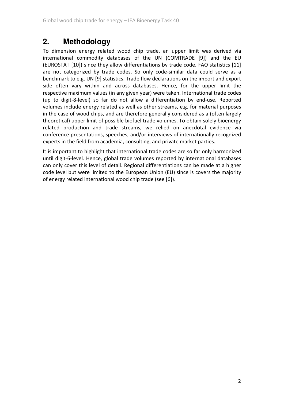### **2. Methodology**

To dimension energy related wood chip trade, an upper limit was derived via international commodity databases of the UN (COMTRADE [9]) and the EU (EUROSTAT [10]) since they allow differentiations by trade code. FAO statistics [11] are not categorized by trade codes. So only code-similar data could serve as a benchmark to e.g. UN [9] statistics. Trade flow declarations on the import and export side often vary within and across databases. Hence, for the upper limit the respective maximum values (in any given year) were taken. International trade codes (up to digit-8-level) so far do not allow a differentiation by end-use. Reported volumes include energy related as well as other streams, e.g. for material purposes in the case of wood chips, and are therefore generally considered as a (often largely theoretical) upper limit of possible biofuel trade volumes. To obtain solely bioenergy related production and trade streams, we relied on anecdotal evidence via conference presentations, speeches, and/or interviews of internationally recognized experts in the field from academia, consulting, and private market parties.

It is important to highlight that international trade codes are so far only harmonized until digit-6-level. Hence, global trade volumes reported by international databases can only cover this level of detail. Regional differentiations can be made at a higher code level but were limited to the European Union (EU) since is covers the majority of energy related international wood chip trade (see [6]).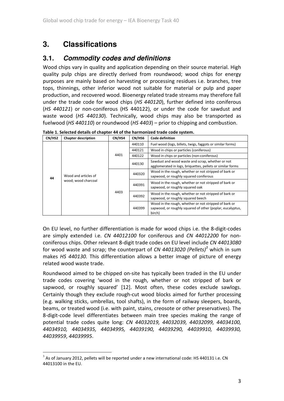## **3. Classifications**

#### **3.1. Commodity codes and definitions**

Wood chips vary in quality and application depending on their source material. High quality pulp chips are directly derived from roundwood; wood chips for energy purposes are mainly based on harvesting or processing residues i.e. branches, tree tops, thinnings, other inferior wood not suitable for material or pulp and paper production, and recovered wood. Bioenergy related trade streams may therefore fall under the trade code for wood chips (HS 440120), further defined into coniferous (HS 440121) or non-coniferous (HS 440122), or under the code for sawdust and waste wood (HS 440130). Technically, wood chips may also be transported as fuelwood (HS 440110) or roundwood (HS 4403) – prior to chipping and combustion.

| CN/HS2 | <b>Chapter description</b>                  | CN/HS4 | CN/HS6 | <b>Code definition</b>                                                                                                       |  |  |  |  |
|--------|---------------------------------------------|--------|--------|------------------------------------------------------------------------------------------------------------------------------|--|--|--|--|
|        |                                             |        | 440110 | Fuel wood (logs, billets, twigs, faggots or similar forms)                                                                   |  |  |  |  |
|        |                                             |        | 440121 | Wood in chips or particles (coniferous)                                                                                      |  |  |  |  |
|        |                                             | 4401   | 440122 | Wood in chips or particles (non-coniferous)                                                                                  |  |  |  |  |
|        | Wood and articles of<br>wood; wood charcoal |        | 440130 | Sawdust and wood waste and scrap, whether or not<br>agglomerated in logs, briquettes, pellets or similar forms               |  |  |  |  |
| 44     |                                             | 4403   | 440320 | Wood in the rough, whether or not stripped of bark or<br>sapwood, or roughly squared coniferous                              |  |  |  |  |
|        |                                             |        | 440391 | Wood in the rough, whether or not stripped of bark or<br>sapwood, or roughly squared oak                                     |  |  |  |  |
|        |                                             |        | 440392 | Wood in the rough, whether or not stripped of bark or<br>sapwood, or roughly squared beech                                   |  |  |  |  |
|        |                                             |        | 440399 | Wood in the rough, whether or not stripped of bark or<br>sapwood, or roughly squared of other (poplar, eucalyptus,<br>birch) |  |  |  |  |

Table 1. Selected details of chapter 44 of the harmonized trade code system.

On EU level, no further differentiation is made for wood chips i.e. the 8-digit-codes are simply extended i.e. CN 44012100 for coniferous and CN 44012200 for nonconiferous chips. Other relevant 8-digit trade codes on EU level include CN 44013080 for wood waste and scrap; the counterpart of CN 44013020 (Pellets)<sup>3</sup> which in sum makes HS 440130. This differentiation allows a better image of picture of energy related wood waste trade.

Roundwood aimed to be chipped on-site has typically been traded in the EU under trade codes covering 'wood in the rough, whether or not stripped of bark or sapwood, or roughly squared' [12]. Most often, these codes exclude sawlogs. Certainly though they exclude rough-cut wood blocks aimed for further processing (e.g. walking sticks, umbrellas, tool shafts), in the form of railway sleepers, boards, beams, or treated wood (i.e. with paint, stains, creosote or other preservatives). The 8-digit-code level differentiates between main tree species making the range of potential trade codes quite long: CN 44032019, 44032039, 44032099, 44034100, 44034910, 44034935, 44034995, 44039190, 44039290, 44039910, 44039930, 44039959, 44039995.

l.

 $3$  As of January 2012, pellets will be reported under a new international code: HS 440131 i.e. CN 44013100 in the EU.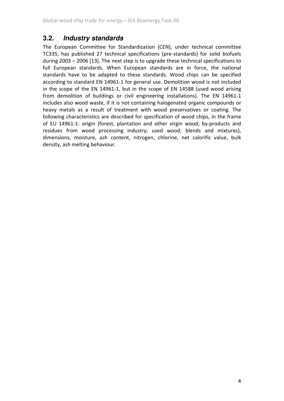#### **3.2. Industry standards**

The European Committee for Standardization (CEN), under technical committee TC335, has published 27 technical specifications (pre-standards) for solid biofuels during 2003 – 2006 [13]. The next step is to upgrade these technical specifications to full European standards. When European standards are in force, the national standards have to be adapted to these standards. Wood chips can be specified according to standard EN 14961-1 for general use. Demolition wood is not included in the scope of the EN 14961-1, but in the scope of EN 14588 (used wood arising from demolition of buildings or civil engineering installations). The EN 14961-1 includes also wood waste, if it is not containing halogenated organic compounds or heavy metals as a result of treatment with wood preservatives or coating. The following characteristics are described for specification of wood chips, in the frame of EU 14961-1: origin (forest, plantation and other virgin wood; by-products and residues from wood processing industry; used wood; blends and mixtures), dimensions, moisture, ash content, nitrogen, chlorine, net calorific value, bulk density, ash melting behaviour.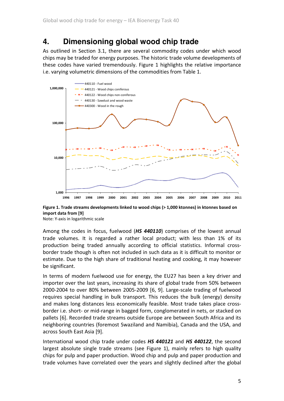## **4. Dimensioning global wood chip trade**

As outlined in Section 3.1, there are several commodity codes under which wood chips may be traded for energy purposes. The historic trade volume developments of these codes have varied tremendously. Figure 1 highlights the relative importance i.e. varying volumetric dimensions of the commodities from Table 1.



Figure 1. Trade streams developments linked to wood chips (> 1,000 ktonnes) in ktonnes based on import data from [9]

Note: Y-axis in logarithmic scale

Among the codes in focus, fuelwood (HS 440110) comprises of the lowest annual trade volumes. It is regarded a rather local product; with less than 1% of its production being traded annually according to official statistics. Informal crossborder trade though is often not included in such data as it is difficult to monitor or estimate. Due to the high share of traditional heating and cooking, it may however be significant.

In terms of modern fuelwood use for energy, the EU27 has been a key driver and importer over the last years, increasing its share of global trade from 50% between 2000-2004 to over 80% between 2005-2009 [6, 9]. Large-scale trading of fuelwood requires special handling in bulk transport. This reduces the bulk (energy) density and makes long distances less economically feasible. Most trade takes place crossborder i.e. short- or mid-range in bagged form, conglomerated in nets, or stacked on pallets [6]. Recorded trade streams outside Europe are between South Africa and its neighboring countries (foremost Swaziland and Namibia), Canada and the USA, and across South East Asia [9].

International wood chip trade under codes HS 440121 and HS 440122, the second largest absolute single trade streams (see Figure 1), mainly refers to high quality chips for pulp and paper production. Wood chip and pulp and paper production and trade volumes have correlated over the years and slightly declined after the global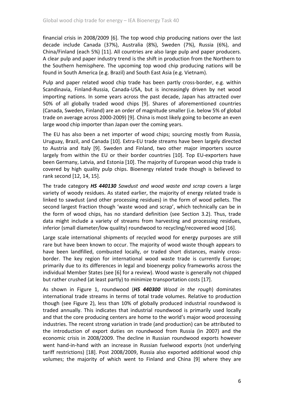financial crisis in 2008/2009 [6]. The top wood chip producing nations over the last decade include Canada (37%), Australia (8%), Sweden (7%), Russia (6%), and China/Finland (each 5%) [11]. All countries are also large pulp and paper producers. A clear pulp and paper industry trend is the shift in production from the Northern to the Southern hemisphere. The upcoming top wood chip producing nations will be found in South America (e.g. Brazil) and South East Asia (e.g. Vietnam).

Pulp and paper related wood chip trade has been partly cross-border, e.g. within Scandinavia, Finland-Russia, Canada-USA, but is increasingly driven by net wood importing nations. In some years across the past decade, Japan has attracted over 50% of all globally traded wood chips [9]. Shares of aforementioned countries (Canada, Sweden, Finland) are an order of magnitude smaller (i.e. below 5% of global trade on average across 2000-2009) [9]. China is most likely going to become an even large wood chip importer than Japan over the coming years.

The EU has also been a net importer of wood chips; sourcing mostly from Russia, Uruguay, Brazil, and Canada [10]. Extra-EU trade streams have been largely directed to Austria and Italy [9]. Sweden and Finland, two other major importers source largely from within the EU or their border countries [10]. Top EU-exporters have been Germany, Latvia, and Estonia [10]. The majority of European wood chip trade is covered by high quality pulp chips. Bioenergy related trade though is believed to rank second [12, 14, 15].

The trade category HS 440130 Sawdust and wood waste and scrap covers a large variety of woody residues. As stated earlier, the majority of energy related trade is linked to sawdust (and other processing residues) in the form of wood pellets. The second largest fraction though 'waste wood and scrap', which technically can be in the form of wood chips, has no standard definition (see Section 3.2). Thus, trade data might include a variety of streams from harvesting and processing residues, inferior (small diameter/low quality) roundwood to recycling/recovered wood [16].

Large scale international shipments of recycled wood for energy purposes are still rare but have been known to occur. The majority of wood waste though appears to have been landfilled, combusted locally, or traded short distances, mainly crossborder. The key region for international wood waste trade is currently Europe; primarily due to its differences in legal and bioenergy policy frameworks across the individual Member States (see [6] for a review). Wood waste is generally not chipped but rather crushed (at least partly) to minimize transportation costs [17].

As shown in Figure 1, roundwood (HS 440300 Wood in the rough) dominates international trade streams in terms of total trade volumes. Relative to production though (see Figure 2), less than 10% of globally produced industrial roundwood is traded annually. This indicates that industrial roundwood is primarily used locally and that the core producing centers are home to the world's major wood processing industries. The recent strong variation in trade (and production) can be attributed to the introduction of export duties on roundwood from Russia (in 2007) and the economic crisis in 2008/2009. The decline in Russian roundwood exports however went hand-in-hand with an increase in Russian fuelwood exports (not underlying tariff restrictions) [18]. Post 2008/2009, Russia also exported additional wood chip volumes; the majority of which went to Finland and China [9] where they are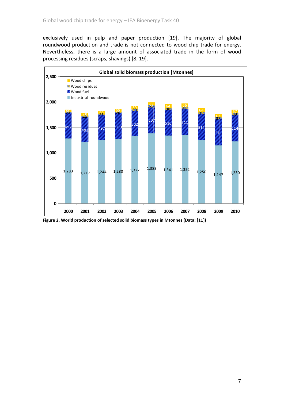exclusively used in pulp and paper production [19]. The majority of global roundwood production and trade is not connected to wood chip trade for energy. Nevertheless, there is a large amount of associated trade in the form of wood processing residues (scraps, shavings) [8, 19].



Figure 2. World production of selected solid biomass types in Mtonnes (Data: [11])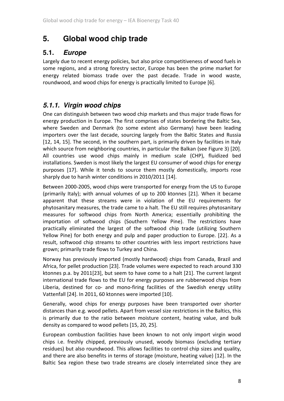### **5. Global wood chip trade**

### **5.1. Europe**

Largely due to recent energy policies, but also price competitiveness of wood fuels in some regions, and a strong forestry sector, Europe has been the prime market for energy related biomass trade over the past decade. Trade in wood waste, roundwood, and wood chips for energy is practically limited to Europe [6].

### **5.1.1. Virgin wood chips**

One can distinguish between two wood chip markets and thus major trade flows for energy production in Europe. The first comprises of states bordering the Baltic Sea, where Sweden and Denmark (to some extent also Germany) have been leading importers over the last decade, sourcing largely from the Baltic States and Russia [12, 14, 15]. The second, in the southern part, is primarily driven by facilities in Italy which source from neighboring countries, in particular the Balkan (see Figure 3) [20]. All countries use wood chips mainly in medium scale (CHP), fluidized bed installations. Sweden is most likely the largest EU consumer of wood chips for energy purposes [17]. While it tends to source them mostly domestically, imports rose sharply due to harsh winter conditions in 2010/2011 [14].

Between 2000-2005, wood chips were transported for energy from the US to Europe (primarily Italy); with annual volumes of up to 200 ktonnes [21]. When it became apparent that these streams were in violation of the EU requirements for phytosanitary measures, the trade came to a halt. The EU still requires phytosanitary measures for softwood chips from North America; essentially prohibiting the importation of softwood chips (Southern Yellow Pine). The restrictions have practically eliminated the largest of the softwood chip trade (utilizing Southern Yellow Pine) for both energy and pulp and paper production to Europe. [22]. As a result, softwood chip streams to other countries with less import restrictions have grown; primarily trade flows to Turkey and China.

Norway has previously imported (mostly hardwood) chips from Canada, Brazil and Africa, for pellet production [23]. Trade volumes were expected to reach around 330 ktonnes p.a. by 2011[23], but seem to have come to a halt [21]. The current largest international trade flows to the EU for energy purposes are rubberwood chips from Liberia, destined for co- and mono-firing facilities of the Swedish energy utility Vattenfall [24]. In 2011, 60 ktonnes were imported [10].

Generally, wood chips for energy purposes have been transported over shorter distances than e.g. wood pellets. Apart from vessel size restrictions in the Baltics, this is primarily due to the ratio between moisture content, heating value, and bulk density as compared to wood pellets [15, 20, 25].

European combustion facilities have been known to not only import virgin wood chips i.e. freshly chipped, previously unused, woody biomass (excluding tertiary residues) but also roundwood. This allows facilities to control chip sizes and quality, and there are also benefits in terms of storage (moisture, heating value) [12]. In the Baltic Sea region these two trade streams are closely interrelated since they are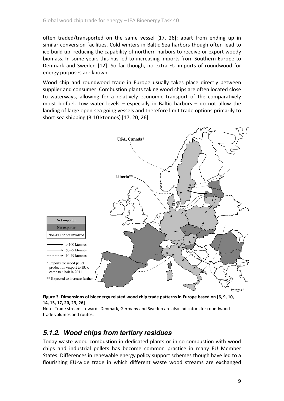often traded/transported on the same vessel [17, 26]; apart from ending up in similar conversion facilities. Cold winters in Baltic Sea harbors though often lead to ice build up, reducing the capability of northern harbors to receive or export woody biomass. In some years this has led to increasing imports from Southern Europe to Denmark and Sweden [12]. So far though, no extra-EU imports of roundwood for energy purposes are known.

Wood chip and roundwood trade in Europe usually takes place directly between supplier and consumer. Combustion plants taking wood chips are often located close to waterways, allowing for a relatively economic transport of the comparatively moist biofuel. Low water levels – especially in Baltic harbors – do not allow the landing of large open-sea going vessels and therefore limit trade options primarily to short-sea shipping (3-10 ktonnes) [17, 20, 26].



Figure 3. Dimensions of bioenergy related wood chip trade patterns in Europe based on [6, 9, 10, 14, 15, 17, 20, 23, 26]

Note: Trade streams towards Denmark, Germany and Sweden are also indicators for roundwood trade volumes and routes.

#### **5.1.2. Wood chips from tertiary residues**

Today waste wood combustion in dedicated plants or in co-combustion with wood chips and industrial pellets has become common practice in many EU Member States. Differences in renewable energy policy support schemes though have led to a flourishing EU-wide trade in which different waste wood streams are exchanged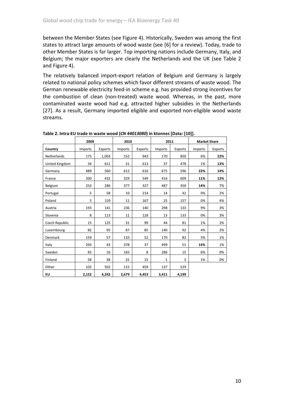between the Member States (see Figure 4). Historically, Sweden was among the first states to attract large amounts of wood waste (see [6] for a review). Today, trade to other Member States is far larger. Top importing nations include Germany, Italy, and Belgium; the major exporters are clearly the Netherlands and the UK (see Table 2 and Figure 4).

The relatively balanced import-export relation of Belgium and Germany is largely related to national policy schemes which favor different streams of waste wood. The German renewable electricity feed-in scheme e.g. has provided strong incentives for the combustion of clean (non-treated) waste wood. Whereas, in the past, more contaminated waste wood had e.g. attracted higher subsidies in the Netherlands [27]. As a result, Germany imported eligible and exported non-eligible wood waste streams.

|                | 2009    |         | 2010    |         | 2011         |         | <b>Market Share</b> |         |
|----------------|---------|---------|---------|---------|--------------|---------|---------------------|---------|
| Country        | Imports | Exports | Imports | Exports | Imports      | Exports | <b>Imports</b>      | Exports |
| Netherlands    | 175     | 1,003   | 152     | 943     | 170          | 850     | 6%                  | 22%     |
| United Kingdom | 34      | 611     | 31      | 613     | 37           | 478     | 1%                  | 13%     |
| Germany        | 489     | 560     | 612     | 616     | 675          | 596     | 22%                 | 14%     |
| France         | 200     | 432     | 329     | 549     | 416          | 609     | 11%                 | 12%     |
| Belgium        | 253     | 286     | 377     | 327     | 487          | 350     | 14%                 | 7%      |
| Portugal       | 5       | 58      | 10      | 214     | 14           | 42      | 0%                  | 2%      |
| Poland         | 5       | 159     | 11      | 167     | 25           | 157     | 0%                  | 4%      |
| Austria        | 193     | 141     | 236     | 140     | 298          | 133     | 9%                  | 3%      |
| Slovenia       | 8       | 113     | 11      | 128     | 13           | 133     | 0%                  | 3%      |
| Czech Republic | 15      | 125     | 31      | 99      | 44           | 81      | 1%                  | 2%      |
| Luxembourg     | 82      | 95      | 87      | 85      | 140          | 92      | 4%                  | 2%      |
| Denmark        | 159     | 57      | 110     | 52      | 170          | 82      | 5%                  | 1%      |
| Italy          | 293     | 43      | 378     | 37      | 499          | 51      | 14%                 | 1%      |
| Sweden         | 83      | 16      | 165     | 8       | 286          | 15      | 6%                  | 0%      |
| Finland        | 58      | 38      | 25      | 15      | $\mathbf{1}$ | 3       | 1%                  | 0%      |
| Other          | 102     | 502     | 115     | 459     | 137          | 529     |                     |         |
| EU             | 2,152   | 4,242   | 2,679   | 4,453   | 3,411        | 4,199   |                     |         |

Table 2. Intra-EU trade in waste wood (CN 44013080) in ktonnes [Data: [10]].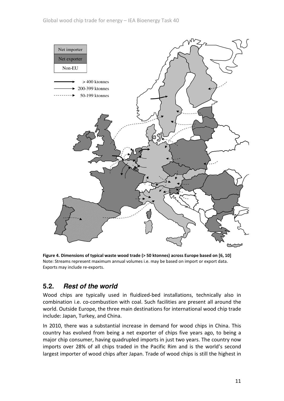

Figure 4. Dimensions of typical waste wood trade (> 50 ktonnes) across Europe based on [6, 10] Note: Streams represent maximum annual volumes i.e. may be based on import or export data. Exports may include re-exports.

### **5.2. Rest of the world**

Wood chips are typically used in fluidized-bed installations, technically also in combination i.e. co-combustion with coal. Such facilities are present all around the world. Outside Europe, the three main destinations for international wood chip trade include: Japan, Turkey, and China.

In 2010, there was a substantial increase in demand for wood chips in China. This country has evolved from being a net exporter of chips five years ago, to being a major chip consumer, having quadrupled imports in just two years. The country now imports over 28% of all chips traded in the Pacific Rim and is the world's second largest importer of wood chips after Japan. Trade of wood chips is still the highest in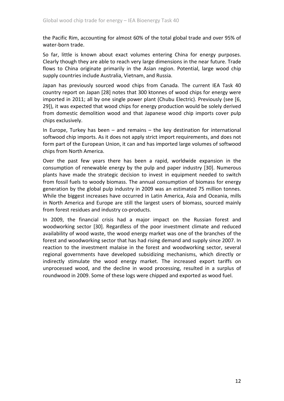the Pacific Rim, accounting for almost 60% of the total global trade and over 95% of water-born trade.

So far, little is known about exact volumes entering China for energy purposes. Clearly though they are able to reach very large dimensions in the near future. Trade flows to China originate primarily in the Asian region. Potential, large wood chip supply countries include Australia, Vietnam, and Russia.

Japan has previously sourced wood chips from Canada. The current IEA Task 40 country report on Japan [28] notes that 300 ktonnes of wood chips for energy were imported in 2011; all by one single power plant (Chubu Electric). Previously (see [6, 29]), it was expected that wood chips for energy production would be solely derived from domestic demolition wood and that Japanese wood chip imports cover pulp chips exclusively.

In Europe, Turkey has been – and remains – the key destination for international softwood chip imports. As it does not apply strict import requirements, and does not form part of the European Union, it can and has imported large volumes of softwood chips from North America.

Over the past few years there has been a rapid, worldwide expansion in the consumption of renewable energy by the pulp and paper industry [30]. Numerous plants have made the strategic decision to invest in equipment needed to switch from fossil fuels to woody biomass. The annual consumption of biomass for energy generation by the global pulp industry in 2009 was an estimated 75 million tonnes. While the biggest increases have occurred in Latin America, Asia and Oceania, mills in North America and Europe are still the largest users of biomass, sourced mainly from forest residues and industry co-products.

In 2009, the financial crisis had a major impact on the Russian forest and woodworking sector [30]. Regardless of the poor investment climate and reduced availability of wood waste, the wood energy market was one of the branches of the forest and woodworking sector that has had rising demand and supply since 2007. In reaction to the investment malaise in the forest and woodworking sector, several regional governments have developed subsidizing mechanisms, which directly or indirectly stimulate the wood energy market. The increased export tariffs on unprocessed wood, and the decline in wood processing, resulted in a surplus of roundwood in 2009. Some of these logs were chipped and exported as wood fuel.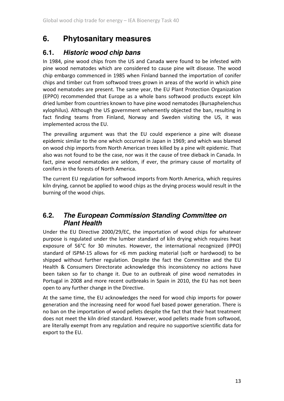### **6. Phytosanitary measures**

### **6.1. Historic wood chip bans**

In 1984, pine wood chips from the US and Canada were found to be infested with pine wood nematodes which are considered to cause pine wilt disease. The wood chip embargo commenced in 1985 when Finland banned the importation of conifer chips and timber cut from softwood trees grown in areas of the world in which pine wood nematodes are present. The same year, the EU Plant Protection Organization (EPPO) recommended that Europe as a whole bans softwood products except kiln dried lumber from countries known to have pine wood nematodes (Bursaphelenchus xylophilus). Although the US government vehemently objected the ban, resulting in fact finding teams from Finland, Norway and Sweden visiting the US, it was implemented across the EU.

The prevailing argument was that the EU could experience a pine wilt disease epidemic similar to the one which occurred in Japan in 1969; and which was blamed on wood chip imports from North American trees killed by a pine wilt epidemic. That also was not found to be the case, nor was it the cause of tree dieback in Canada. In fact, pine wood nematodes are seldom, if ever, the primary cause of mortality of conifers in the forests of North America.

The current EU regulation for softwood imports from North America, which requires kiln drying, cannot be applied to wood chips as the drying process would result in the burning of the wood chips.

#### **6.2. The European Commission Standing Committee on Plant Health**

Under the EU Directive 2000/29/EC, the importation of wood chips for whatever purpose is regulated under the lumber standard of kiln drying which requires heat exposure of 56°C for 30 minutes. However, the international recognized (IPPO) standard of ISPM-15 allows for <6 mm packing material (soft or hardwood) to be shipped without further regulation. Despite the fact the Committee and the EU Health & Consumers Directorate acknowledge this inconsistency no actions have been taken so far to change it. Due to an outbreak of pine wood nematodes in Portugal in 2008 and more recent outbreaks in Spain in 2010, the EU has not been open to any further change in the Directive.

At the same time, the EU acknowledges the need for wood chip imports for power generation and the increasing need for wood fuel based power generation. There is no ban on the importation of wood pellets despite the fact that their heat treatment does not meet the kiln dried standard. However, wood pellets made from softwood, are literally exempt from any regulation and require no supportive scientific data for export to the EU.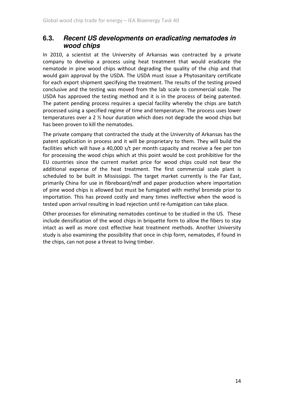#### **6.3. Recent US developments on eradicating nematodes in wood chips**

In 2010, a scientist at the University of Arkansas was contracted by a private company to develop a process using heat treatment that would eradicate the nematode in pine wood chips without degrading the quality of the chip and that would gain approval by the USDA. The USDA must issue a Phytosanitary certificate for each export shipment specifying the treatment. The results of the testing proved conclusive and the testing was moved from the lab scale to commercial scale. The USDA has approved the testing method and it is in the process of being patented. The patent pending process requires a special facility whereby the chips are batch processed using a specified regime of time and temperature. The process uses lower temperatures over a 2 ½ hour duration which does not degrade the wood chips but has been proven to kill the nematodes.

The private company that contracted the study at the University of Arkansas has the patent application in process and it will be proprietary to them. They will build the facilities which will have a 40,000 s/t per month capacity and receive a fee per ton for processing the wood chips which at this point would be cost prohibitive for the EU countries since the current market price for wood chips could not bear the additional expense of the heat treatment. The first commercial scale plant is scheduled to be built in Mississippi. The target market currently is the Far East, primarily China for use in fibreboard/mdf and paper production where importation of pine wood chips is allowed but must be fumigated with methyl bromide prior to importation. This has proved costly and many times ineffective when the wood is tested upon arrival resulting in load rejection until re-fumigation can take place.

Other processes for eliminating nematodes continue to be studied in the US. These include densification of the wood chips in briquette form to allow the fibers to stay intact as well as more cost effective heat treatment methods. Another University study is also examining the possibility that once in chip form, nematodes, if found in the chips, can not pose a threat to living timber.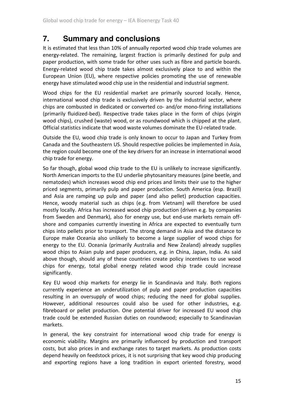### **7. Summary and conclusions**

It is estimated that less than 10% of annually reported wood chip trade volumes are energy-related. The remaining, largest fraction is primarily destined for pulp and paper production, with some trade for other uses such as fibre and particle boards. Energy-related wood chip trade takes almost exclusively place to and within the European Union (EU), where respective policies promoting the use of renewable energy have stimulated wood chip use in the residential and industrial segment.

Wood chips for the EU residential market are primarily sourced locally. Hence, international wood chip trade is exclusively driven by the industrial sector, where chips are combusted in dedicated or converted co- and/or mono-firing installations (primarily fluidized-bed). Respective trade takes place in the form of chips (virgin wood chips), crushed (waste) wood, or as roundwood which is chipped at the plant. Official statistics indicate that wood waste volumes dominate the EU-related trade.

Outside the EU, wood chip trade is only known to occur to Japan and Turkey from Canada and the Southeastern US. Should respective policies be implemented in Asia, the region could become one of the key drivers for an increase in international wood chip trade for energy.

So far though, global wood chip trade to the EU is unlikely to increase significantly. North American imports to the EU underlie phytosanitary measures (pine beetle, and nematodes) which increases wood chip end prices and limits their use to the higher priced segments, primarily pulp and paper production. South America (esp. Brazil) and Asia are ramping up pulp and paper (and also pellet) production capacities. Hence, woody material such as chips (e.g. from Vietnam) will therefore be used mostly locally. Africa has increased wood chip production (driven e.g. by companies from Sweden and Denmark), also for energy use, but end-use markets remain offshore and companies currently investing in Africa are expected to eventually turn chips into pellets prior to transport. The strong demand in Asia and the distance to Europe make Oceania also unlikely to become a large supplier of wood chips for energy to the EU. Oceania (primarily Australia and New Zealand) already supplies wood chips to Asian pulp and paper producers, e.g. in China, Japan, India. As said above though, should any of these countries create policy incentives to use wood chips for energy, total global energy related wood chip trade could increase significantly.

Key EU wood chip markets for energy lie in Scandinavia and Italy. Both regions currently experience an underutilization of pulp and paper production capacities resulting in an oversupply of wood chips; reducing the need for global supplies. However, additional resources could also be used for other industries, e.g. fibreboard or pellet production. One potential driver for increased EU wood chip trade could be extended Russian duties on roundwood; especially to Scandinavian markets.

In general, the key constraint for international wood chip trade for energy is economic viability. Margins are primarily influenced by production and transport costs, but also prices in and exchange rates to target markets. As production costs depend heavily on feedstock prices, it is not surprising that key wood chip producing and exporting regions have a long tradition in export oriented forestry, wood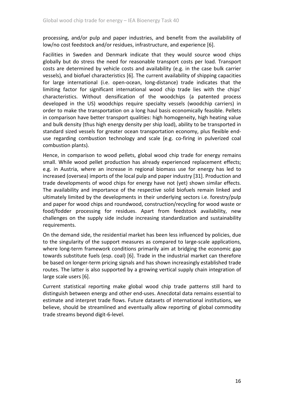processing, and/or pulp and paper industries, and benefit from the availability of low/no cost feedstock and/or residues, infrastructure, and experience [6].

Facilities in Sweden and Denmark indicate that they would source wood chips globally but do stress the need for reasonable transport costs per load. Transport costs are determined by vehicle costs and availability (e.g. in the case bulk carrier vessels), and biofuel characteristics [6]. The current availability of shipping capacities for large international (i.e. open-ocean, long-distance) trade indicates that the limiting factor for significant international wood chip trade lies with the chips' characteristics. Without densification of the woodchips (a patented process developed in the US) woodchips require specialty vessels (woodchip carriers) in order to make the transportation on a long haul basis economically feasible. Pellets in comparison have better transport qualities: high homogeneity, high heating value and bulk density (thus high energy density per ship load), ability to be transported in standard sized vessels for greater ocean transportation economy, plus flexible enduse regarding combustion technology and scale (e.g. co-firing in pulverized coal combustion plants).

Hence, in comparison to wood pellets, global wood chip trade for energy remains small. While wood pellet production has already experienced replacement effects; e.g. in Austria, where an increase in regional biomass use for energy has led to increased (oversea) imports of the local pulp and paper industry [31]. Production and trade developments of wood chips for energy have not (yet) shown similar effects. The availability and importance of the respective solid biofuels remain linked and ultimately limited by the developments in their underlying sectors i.e. forestry/pulp and paper for wood chips and roundwood, construction/recycling for wood waste or food/fodder processing for residues. Apart from feedstock availability, new challenges on the supply side include increasing standardization and sustainability requirements.

On the demand side, the residential market has been less influenced by policies, due to the singularity of the support measures as compared to large-scale applications, where long-term framework conditions primarily aim at bridging the economic gap towards substitute fuels (esp. coal) [6]. Trade in the industrial market can therefore be based on longer-term pricing signals and has shown increasingly established trade routes. The latter is also supported by a growing vertical supply chain integration of large scale users [6].

Current statistical reporting make global wood chip trade patterns still hard to distinguish between energy and other end-uses. Anecdotal data remains essential to estimate and interpret trade flows. Future datasets of international institutions, we believe, should be streamlined and eventually allow reporting of global commodity trade streams beyond digit-6-level.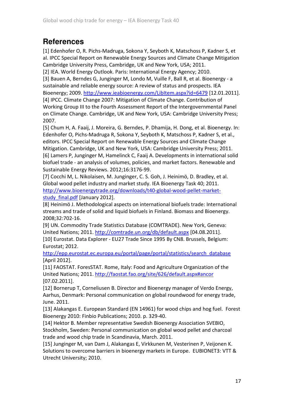## **References**

[1] Edenhofer O, R. Pichs-Madruga, Sokona Y, Seyboth K, Matschoss P, Kadner S, et al. IPCC Special Report on Renewable Energy Sources and Climate Change Mitigation Cambridge University Press, Cambridge, UK and New York, USA; 2011.

[2] IEA. World Energy Outlook. Paris: International Energy Agency; 2010.

[3] Bauen A, Berndes G, Junginger M, Londo M, Vuille F, Ball R, et al. Bioenergy - a sustainable and reliable energy source: A review of status and prospects. IEA Bioenergy; 2009. http://www.ieabioenergy.com/LibItem.aspx?id=6479 [12.01.2011].

[4] IPCC. Climate Change 2007: Mitigation of Climate Change. Contribution of Working Group III to the Fourth Assessment Report of the Intergovernmental Panel on Climate Change. Cambridge, UK and New York, USA: Cambridge University Press; 2007.

[5] Chum H, A. Faaij, J. Moreira, G. Berndes, P. Dhamija, H. Dong, et al. Bioenergy. In: Edenhofer O, Pichs-Madruga R, Sokona Y, Seyboth K, Matschoss P, Kadner S, et al., editors. IPCC Special Report on Renewable Energy Sources and Climate Change Mitigation. Cambridge, UK and New York, USA: Cambridge University Press; 2011. [6] Lamers P, Junginger M, Hamelinck C, Faaij A. Developments in international solid biofuel trade - an analysis of volumes, policies, and market factors. Renewable and Sustainable Energy Reviews. 2012;16:3176-99.

[7] Cocchi M, L. Nikolaisen, M. Junginger, C. S. Goh, J. Heinimö, D. Bradley, et al. Global wood pellet industry and market study. IEA Bioenergy Task 40; 2011. http://www.bioenergytrade.org/downloads/t40-global-wood-pellet-marketstudy\_final.pdf [January 2012].

[8] Heinimö J. Methodological aspects on international biofuels trade: International streams and trade of solid and liquid biofuels in Finland. Biomass and Bioenergy. 2008;32:702-16.

[9] UN. Commodity Trade Statistics Database (COMTRADE). New York, Geneva: United Nations; 2011. http://comtrade.un.org/db/default.aspx [04.08.2011]. [10] Eurostat. Data Explorer - EU27 Trade Since 1995 By CN8. Brussels, Belgium: Eurostat; 2012.

http://epp.eurostat.ec.europa.eu/portal/page/portal/statistics/search\_database [April 2012].

[11] FAOSTAT. ForesSTAT. Rome, Italy: Food and Agriculture Organization of the United Nations; 2011. http://faostat.fao.org/site/626/default.aspx#ancor [07.02.2011].

[12] Bornerup T, Corneliusen B. Director and Bioenergy manager of Verdo Energy, Aarhus, Denmark: Personal communication on global roundwood for energy trade, June. 2011.

[13] Alakangas E. European Standard (EN 14961) for wood chips and hog fuel. Forest Bioenergy 2010: Finbio Publications; 2010. p. 329-40.

[14] Hektor B. Member representative Swedish Bioenergy Association SVEBIO, Stockholm, Sweden: Personal communication on global wood pellet and charcoal trade and wood chip trade in Scandinavia, March. 2011.

[15] Junginger M, van Dam J, Alakangas E, Virkkunen M, Vesterinen P, Veijonen K. Solutions to overcome barriers in bioenergy markets in Europe. EUBIONET3: VTT & Utrecht University; 2010.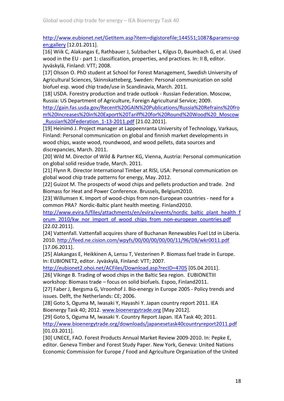http://www.eubionet.net/GetItem.asp?item=digistorefile;144551;1087&params=op en;gallery [12.01.2011].

[16] Wiik C, Alakangas E, Rathbauer J, Sulzbacher L, Kilgus D, Baumbach G, et al. Used wood in the EU - part 1: classification, properties, and practices. In: II B, editor. Jyväskylä, Finland: VTT; 2008.

[17] Olsson O. PhD student at School for Forest Management, Swedish University of Agricultural Sciences, Skinnskatteberg, Sweden: Personal communication on solid biofuel esp. wood chip trade/use in Scandinavia, March. 2011.

[18] USDA. Forestry production and trade outlook - Russian Federation. Moscow, Russia: US Department of Agriculture, Foreign Agricultural Service; 2009.

http://gain.fas.usda.gov/Recent%20GAIN%20Publications/Russia%20Refrains%20fro m%20Increases%20in%20Export%20Tariff%20for%20Round%20Wood%20\_Moscow \_Russian%20Federation\_1-13-2011.pdf [21.02.2011].

[19] Heinimö J. Project manager at Lappeenranta University of Technology, Varkaus, Finland: Personal communication on global and finnish market developments in wood chips, waste wood, roundwood, and wood pellets, data sources and discrepancies, March. 2011.

[20] Wild M. Director of Wild & Partner KG, Vienna, Austria: Personal communication on global solid residue trade, March. 2011.

[21] Flynn R. Director International Timber at RISI, USA: Personal communication on global wood chip trade patterns for energy, May. 2012.

[22] Guizot M. The prospects of wood chips and pellets production and trade. 2nd Biomass for Heat and Power Conference. Brussels, Belgium2010.

[23] Willumsen K. Import of wood-chips from non-European countries - need for a common PRA? Nordic-Baltic plant health meeting. Finland2010.

http://www.evira.fi/files/attachments/en/evira/events/nordic\_baltic\_plant\_health\_f orum\_2010/kw\_nor\_import\_of\_wood\_chips\_from\_non-european\_countries.pdf [22.02.2011].

[24] Vattenfall. Vattenfall acquires share of Buchanan Renewables Fuel Ltd in Liberia. 2010. http://feed.ne.cision.com/wpyfs/00/00/00/00/00/11/96/D8/wkr0011.pdf [17.06.2011].

[25] Alakangas E, Heikkinen A, Lensu T, Vesterinen P. Biomass fuel trade in Europe. In: EUBIONET2, editor. Jyväskylä, Finland: VTT; 2007.

http://eubionet2.ohoi.net/ACFiles/Download.asp?recID=4705 [05.04.2011].

[26] Vikinge B. Trading of wood chips in the Baltic Sea region. EUBIONETIII

workshop: Biomass trade – focus on solid biofuels. Espoo, Finland2011.

[27] Faber J, Bergsma G, Vroonhof J. Bio-energy in Europe 2005 - Policy trends and issues. Delft, the Netherlands: CE; 2006.

[28] Goto S, Oguma M, Iwasaki Y, Hayashi Y. Japan country report 2011. IEA Bioenergy Task 40; 2012. www.bioenergytrade.org [May 2012].

[29] Goto S, Oguma M, Iwasaki Y. Country Report Japan. IEA Task 40; 2011. http://www.bioenergytrade.org/downloads/japanesetask40countryreport2011.pdf [01.03.2011].

[30] UNECE, FAO. Forest Products Annual Market Review 2009-2010. In: Pepke E, editor. Geneva Timber and Forest Study Paper. New York, Geneva: United Nations Economic Commission for Europe / Food and Agriculture Organization of the United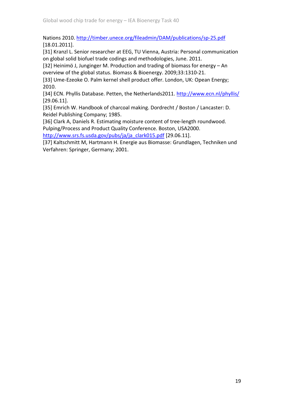Nations 2010. http://timber.unece.org/fileadmin/DAM/publications/sp-25.pdf [18.01.2011].

[31] Kranzl L. Senior researcher at EEG, TU Vienna, Austria: Personal communication on global solid biofuel trade codings and methodologies, June. 2011.

[32] Heinimö J, Junginger M. Production and trading of biomass for energy – An overview of the global status. Biomass & Bioenergy. 2009;33:1310-21.

[33] Ume-Ezeoke O. Palm kernel shell product offer. London, UK: Opean Energy; 2010.

[34] ECN. Phyllis Database. Petten, the Netherlands2011. http://www.ecn.nl/phyllis/ [29.06.11].

[35] Emrich W. Handbook of charcoal making. Dordrecht / Boston / Lancaster: D. Reidel Publishing Company; 1985.

[36] Clark A, Daniels R. Estimating moisture content of tree-length roundwood. Pulping/Process and Product Quality Conference. Boston, USA2000.

http://www.srs.fs.usda.gov/pubs/ja/ja\_clark015.pdf [29.06.11].

[37] Kaltschmitt M, Hartmann H. Energie aus Biomasse: Grundlagen, Techniken und Verfahren: Springer, Germany; 2001.